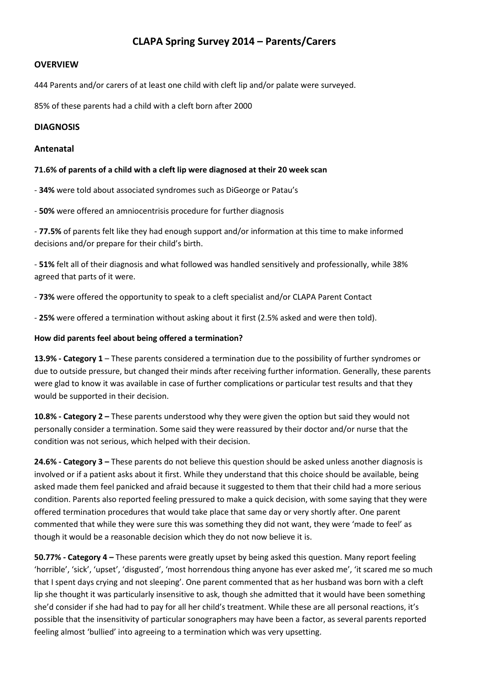# **CLAPA Spring Survey 2014 – Parents/Carers**

### **OVERVIEW**

444 Parents and/or carers of at least one child with cleft lip and/or palate were surveyed.

85% of these parents had a child with a cleft born after 2000

### **DIAGNOSIS**

### **Antenatal**

### **71.6% of parents of a child with a cleft lip were diagnosed at their 20 week scan**

- **34%** were told about associated syndromes such as DiGeorge or Patau's

- **50%** were offered an amniocentrisis procedure for further diagnosis

- **77.5%** of parents felt like they had enough support and/or information at this time to make informed decisions and/or prepare for their child's birth.

- **51%** felt all of their diagnosis and what followed was handled sensitively and professionally, while 38% agreed that parts of it were.

- **73%** were offered the opportunity to speak to a cleft specialist and/or CLAPA Parent Contact

- **25%** were offered a termination without asking about it first (2.5% asked and were then told).

### **How did parents feel about being offered a termination?**

**13.9% - Category 1** – These parents considered a termination due to the possibility of further syndromes or due to outside pressure, but changed their minds after receiving further information. Generally, these parents were glad to know it was available in case of further complications or particular test results and that they would be supported in their decision.

**10.8% - Category 2 –** These parents understood why they were given the option but said they would not personally consider a termination. Some said they were reassured by their doctor and/or nurse that the condition was not serious, which helped with their decision.

**24.6% - Category 3 –** These parents do not believe this question should be asked unless another diagnosis is involved or if a patient asks about it first. While they understand that this choice should be available, being asked made them feel panicked and afraid because it suggested to them that their child had a more serious condition. Parents also reported feeling pressured to make a quick decision, with some saying that they were offered termination procedures that would take place that same day or very shortly after. One parent commented that while they were sure this was something they did not want, they were 'made to feel' as though it would be a reasonable decision which they do not now believe it is.

**50.77% - Category 4 –** These parents were greatly upset by being asked this question. Many report feeling 'horrible', 'sick', 'upset', 'disgusted', 'most horrendous thing anyone has ever asked me', 'it scared me so much that I spent days crying and not sleeping'. One parent commented that as her husband was born with a cleft lip she thought it was particularly insensitive to ask, though she admitted that it would have been something she'd consider if she had had to pay for all her child's treatment. While these are all personal reactions, it's possible that the insensitivity of particular sonographers may have been a factor, as several parents reported feeling almost 'bullied' into agreeing to a termination which was very upsetting.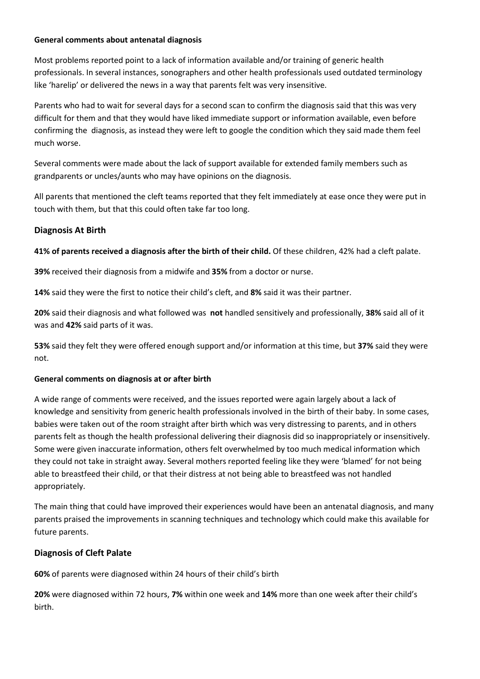### **General comments about antenatal diagnosis**

Most problems reported point to a lack of information available and/or training of generic health professionals. In several instances, sonographers and other health professionals used outdated terminology like 'harelip' or delivered the news in a way that parents felt was very insensitive.

Parents who had to wait for several days for a second scan to confirm the diagnosis said that this was very difficult for them and that they would have liked immediate support or information available, even before confirming the diagnosis, as instead they were left to google the condition which they said made them feel much worse.

Several comments were made about the lack of support available for extended family members such as grandparents or uncles/aunts who may have opinions on the diagnosis.

All parents that mentioned the cleft teams reported that they felt immediately at ease once they were put in touch with them, but that this could often take far too long.

# **Diagnosis At Birth**

**41% of parents received a diagnosis after the birth of their child.** Of these children, 42% had a cleft palate.

**39%** received their diagnosis from a midwife and **35%** from a doctor or nurse.

**14%** said they were the first to notice their child's cleft, and **8%** said it was their partner.

**20%** said their diagnosis and what followed was **not** handled sensitively and professionally, **38%** said all of it was and **42%** said parts of it was.

**53%** said they felt they were offered enough support and/or information at this time, but **37%** said they were not.

# **General comments on diagnosis at or after birth**

A wide range of comments were received, and the issues reported were again largely about a lack of knowledge and sensitivity from generic health professionals involved in the birth of their baby. In some cases, babies were taken out of the room straight after birth which was very distressing to parents, and in others parents felt as though the health professional delivering their diagnosis did so inappropriately or insensitively. Some were given inaccurate information, others felt overwhelmed by too much medical information which they could not take in straight away. Several mothers reported feeling like they were 'blamed' for not being able to breastfeed their child, or that their distress at not being able to breastfeed was not handled appropriately.

The main thing that could have improved their experiences would have been an antenatal diagnosis, and many parents praised the improvements in scanning techniques and technology which could make this available for future parents.

# **Diagnosis of Cleft Palate**

**60%** of parents were diagnosed within 24 hours of their child's birth

**20%** were diagnosed within 72 hours, **7%** within one week and **14%** more than one week after their child's birth.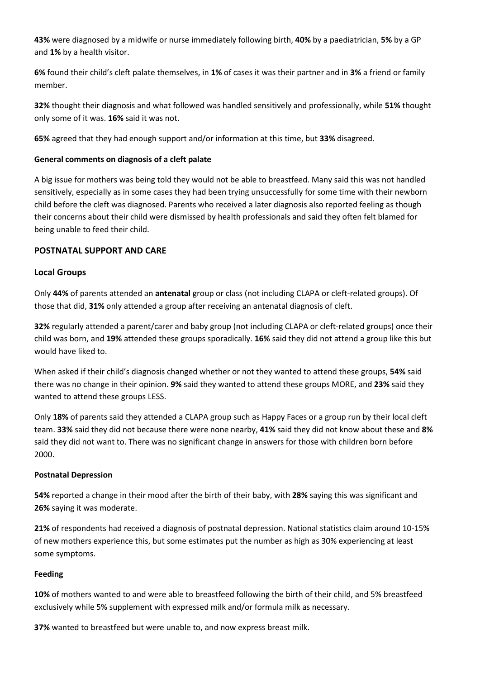**43%** were diagnosed by a midwife or nurse immediately following birth, **40%** by a paediatrician, **5%** by a GP and **1%** by a health visitor.

**6%** found their child's cleft palate themselves, in **1%** of cases it was their partner and in **3%** a friend or family member.

**32%** thought their diagnosis and what followed was handled sensitively and professionally, while **51%** thought only some of it was. **16%** said it was not.

**65%** agreed that they had enough support and/or information at this time, but **33%** disagreed.

# **General comments on diagnosis of a cleft palate**

A big issue for mothers was being told they would not be able to breastfeed. Many said this was not handled sensitively, especially as in some cases they had been trying unsuccessfully for some time with their newborn child before the cleft was diagnosed. Parents who received a later diagnosis also reported feeling as though their concerns about their child were dismissed by health professionals and said they often felt blamed for being unable to feed their child.

# **POSTNATAL SUPPORT AND CARE**

# **Local Groups**

Only **44%** of parents attended an **antenatal** group or class (not including CLAPA or cleft-related groups). Of those that did, **31%** only attended a group after receiving an antenatal diagnosis of cleft.

**32%** regularly attended a parent/carer and baby group (not including CLAPA or cleft-related groups) once their child was born, and **19%** attended these groups sporadically. **16%** said they did not attend a group like this but would have liked to.

When asked if their child's diagnosis changed whether or not they wanted to attend these groups, **54%** said there was no change in their opinion. **9%** said they wanted to attend these groups MORE, and **23%** said they wanted to attend these groups LESS.

Only **18%** of parents said they attended a CLAPA group such as Happy Faces or a group run by their local cleft team. **33%** said they did not because there were none nearby, **41%** said they did not know about these and **8%** said they did not want to. There was no significant change in answers for those with children born before 2000.

# **Postnatal Depression**

**54%** reported a change in their mood after the birth of their baby, with **28%** saying this was significant and **26%** saying it was moderate.

**21%** of respondents had received a diagnosis of postnatal depression. National statistics claim around 10-15% of new mothers experience this, but some estimates put the number as high as 30% experiencing at least some symptoms.

# **Feeding**

**10%** of mothers wanted to and were able to breastfeed following the birth of their child, and 5% breastfeed exclusively while 5% supplement with expressed milk and/or formula milk as necessary.

**37%** wanted to breastfeed but were unable to, and now express breast milk.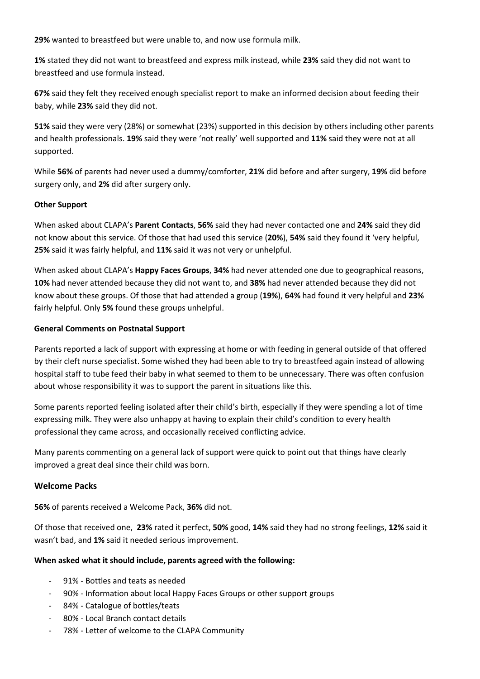**29%** wanted to breastfeed but were unable to, and now use formula milk.

**1%** stated they did not want to breastfeed and express milk instead, while **23%** said they did not want to breastfeed and use formula instead.

**67%** said they felt they received enough specialist report to make an informed decision about feeding their baby, while **23%** said they did not.

**51%** said they were very (28%) or somewhat (23%) supported in this decision by others including other parents and health professionals. **19%** said they were 'not really' well supported and **11%** said they were not at all supported.

While **56%** of parents had never used a dummy/comforter, **21%** did before and after surgery, **19%** did before surgery only, and **2%** did after surgery only.

### **Other Support**

When asked about CLAPA's **Parent Contacts**, **56%** said they had never contacted one and **24%** said they did not know about this service. Of those that had used this service (**20%**), **54%** said they found it 'very helpful, **25%** said it was fairly helpful, and **11%** said it was not very or unhelpful.

When asked about CLAPA's **Happy Faces Groups**, **34%** had never attended one due to geographical reasons, **10%** had never attended because they did not want to, and **38%** had never attended because they did not know about these groups. Of those that had attended a group (**19%**), **64%** had found it very helpful and **23%** fairly helpful. Only **5%** found these groups unhelpful.

### **General Comments on Postnatal Support**

Parents reported a lack of support with expressing at home or with feeding in general outside of that offered by their cleft nurse specialist. Some wished they had been able to try to breastfeed again instead of allowing hospital staff to tube feed their baby in what seemed to them to be unnecessary. There was often confusion about whose responsibility it was to support the parent in situations like this.

Some parents reported feeling isolated after their child's birth, especially if they were spending a lot of time expressing milk. They were also unhappy at having to explain their child's condition to every health professional they came across, and occasionally received conflicting advice.

Many parents commenting on a general lack of support were quick to point out that things have clearly improved a great deal since their child was born.

# **Welcome Packs**

**56%** of parents received a Welcome Pack, **36%** did not.

Of those that received one, **23%** rated it perfect, **50%** good, **14%** said they had no strong feelings, **12%** said it wasn't bad, and **1%** said it needed serious improvement.

# **When asked what it should include, parents agreed with the following:**

- 91% Bottles and teats as needed
- 90% Information about local Happy Faces Groups or other support groups
- 84% Catalogue of bottles/teats
- 80% Local Branch contact details
- 78% Letter of welcome to the CLAPA Community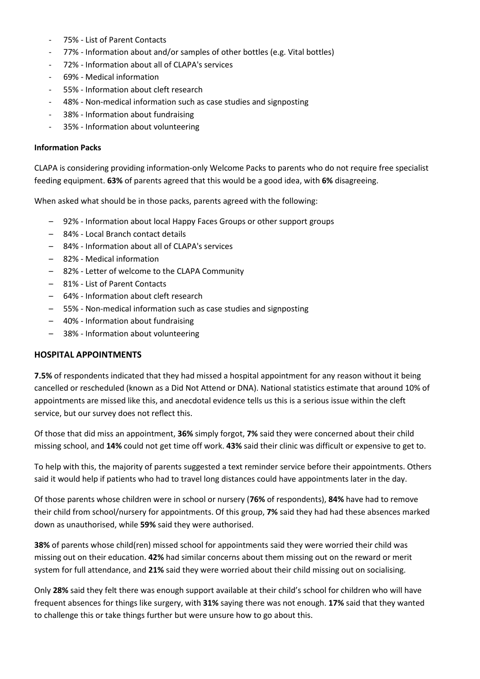- 75% List of Parent Contacts
- 77% Information about and/or samples of other bottles (e.g. Vital bottles)
- 72% Information about all of CLAPA's services
- 69% Medical information
- 55% Information about cleft research
- 48% Non-medical information such as case studies and signposting
- 38% Information about fundraising
- 35% Information about volunteering

#### **Information Packs**

CLAPA is considering providing information-only Welcome Packs to parents who do not require free specialist feeding equipment. **63%** of parents agreed that this would be a good idea, with **6%** disagreeing.

When asked what should be in those packs, parents agreed with the following:

- 92% Information about local Happy Faces Groups or other support groups
- 84% Local Branch contact details
- 84% Information about all of CLAPA's services
- 82% Medical information
- 82% Letter of welcome to the CLAPA Community
- 81% List of Parent Contacts
- 64% Information about cleft research
- 55% Non-medical information such as case studies and signposting
- 40% Information about fundraising
- 38% Information about volunteering

#### **HOSPITAL APPOINTMENTS**

**7.5%** of respondents indicated that they had missed a hospital appointment for any reason without it being cancelled or rescheduled (known as a Did Not Attend or DNA). National statistics estimate that around 10% of appointments are missed like this, and anecdotal evidence tells us this is a serious issue within the cleft service, but our survey does not reflect this.

Of those that did miss an appointment, **36%** simply forgot, **7%** said they were concerned about their child missing school, and **14%** could not get time off work. **43%** said their clinic was difficult or expensive to get to.

To help with this, the majority of parents suggested a text reminder service before their appointments. Others said it would help if patients who had to travel long distances could have appointments later in the day.

Of those parents whose children were in school or nursery (**76%** of respondents), **84%** have had to remove their child from school/nursery for appointments. Of this group, **7%** said they had had these absences marked down as unauthorised, while **59%** said they were authorised.

**38%** of parents whose child(ren) missed school for appointments said they were worried their child was missing out on their education. **42%** had similar concerns about them missing out on the reward or merit system for full attendance, and **21%** said they were worried about their child missing out on socialising.

Only **28%** said they felt there was enough support available at their child's school for children who will have frequent absences for things like surgery, with **31%** saying there was not enough. **17%** said that they wanted to challenge this or take things further but were unsure how to go about this.